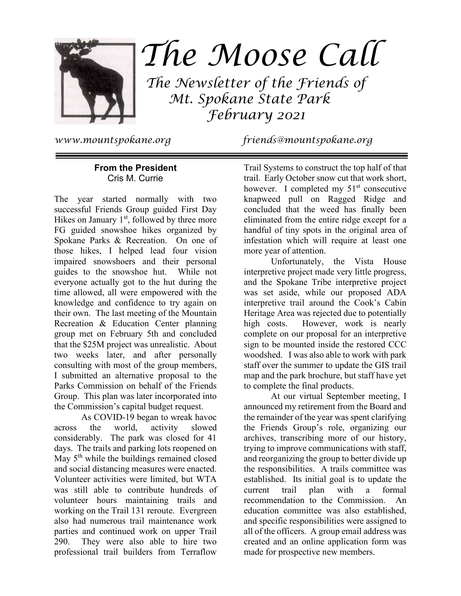

# The Moose Call

 The Newsletter of the Friends of Mt. Spokane State Park February 2021

www.mountspokane.org friends@mountspokane.org

# **From the President**  Cris M. Currie

The year started normally with two successful Friends Group guided First Day Hikes on January  $1<sup>st</sup>$ , followed by three more FG guided snowshoe hikes organized by Spokane Parks & Recreation. On one of those hikes, I helped lead four vision impaired snowshoers and their personal guides to the snowshoe hut. While not everyone actually got to the hut during the time allowed, all were empowered with the knowledge and confidence to try again on their own. The last meeting of the Mountain Recreation & Education Center planning group met on February 5th and concluded that the \$25M project was unrealistic. About two weeks later, and after personally consulting with most of the group members, I submitted an alternative proposal to the Parks Commission on behalf of the Friends Group. This plan was later incorporated into the Commission's capital budget request.

 As COVID-19 began to wreak havoc across the world, activity slowed considerably. The park was closed for 41 days. The trails and parking lots reopened on May  $5<sup>th</sup>$  while the buildings remained closed and social distancing measures were enacted. Volunteer activities were limited, but WTA was still able to contribute hundreds of volunteer hours maintaining trails and working on the Trail 131 reroute. Evergreen also had numerous trail maintenance work parties and continued work on upper Trail 290. They were also able to hire two professional trail builders from Terraflow

Trail Systems to construct the top half of that trail. Early October snow cut that work short, however. I completed my  $51<sup>st</sup>$  consecutive knapweed pull on Ragged Ridge and concluded that the weed has finally been eliminated from the entire ridge except for a handful of tiny spots in the original area of infestation which will require at least one more year of attention.

 Unfortunately, the Vista House interpretive project made very little progress, and the Spokane Tribe interpretive project was set aside, while our proposed ADA interpretive trail around the Cook's Cabin Heritage Area was rejected due to potentially high costs. However, work is nearly complete on our proposal for an interpretive sign to be mounted inside the restored CCC woodshed. I was also able to work with park staff over the summer to update the GIS trail map and the park brochure, but staff have yet to complete the final products.

 At our virtual September meeting, I announced my retirement from the Board and the remainder of the year was spent clarifying the Friends Group's role, organizing our archives, transcribing more of our history, trying to improve communications with staff, and reorganizing the group to better divide up the responsibilities. A trails committee was established. Its initial goal is to update the current trail plan with a formal recommendation to the Commission. An education committee was also established, and specific responsibilities were assigned to all of the officers. A group email address was created and an online application form was made for prospective new members.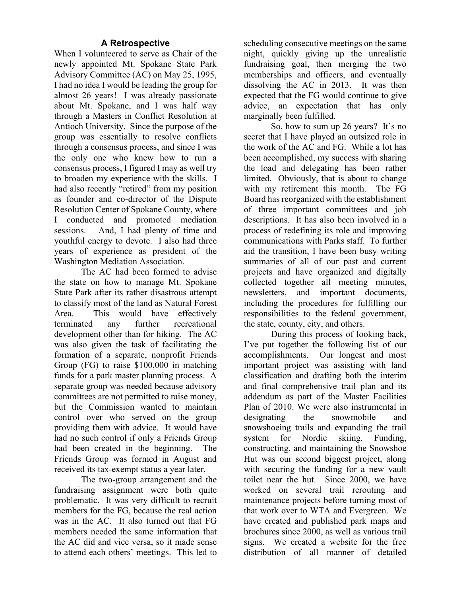# **A Retrospective**

When I volunteered to serve as Chair of the newly appointed Mt. Spokane State Park Advisory Committee (AC) on May 25, 1995, I had no idea I would be leading the group for almost 26 years! I was already passionate about Mt. Spokane, and I was half way through a Masters in Conflict Resolution at Antioch University. Since the purpose of the group was essentially to resolve conflicts through a consensus process, and since I was the only one who knew how to run a consensus process, I figured I may as well try to broaden my experience with the skills. I had also recently "retired" from my position as founder and co-director of the Dispute Resolution Center of Spokane County, where I conducted and promoted mediation sessions. And, I had plenty of time and youthful energy to devote. I also had three years of experience as president of the Washington Mediation Association.

 The AC had been formed to advise the state on how to manage Mt. Spokane State Park after its rather disastrous attempt to classify most of the land as Natural Forest Area. This would have effectively terminated any further recreational development other than for hiking. The AC was also given the task of facilitating the formation of a separate, nonprofit Friends Group (FG) to raise \$100,000 in matching funds for a park master planning process. A separate group was needed because advisory committees are not permitted to raise money, but the Commission wanted to maintain control over who served on the group providing them with advice. It would have had no such control if only a Friends Group had been created in the beginning. The Friends Group was formed in August and received its tax-exempt status a year later.

 The two-group arrangement and the fundraising assignment were both quite problematic. It was very difficult to recruit members for the FG, because the real action was in the AC. It also turned out that FG members needed the same information that the AC did and vice versa, so it made sense to attend each others' meetings. This led to

scheduling consecutive meetings on the same night, quickly giving up the unrealistic fundraising goal, then merging the two memberships and officers, and eventually dissolving the AC in 2013. It was then expected that the FG would continue to give advice, an expectation that has only marginally been fulfilled.

 So, how to sum up 26 years? It's no secret that I have played an outsized role in the work of the AC and FG. While a lot has been accomplished, my success with sharing the load and delegating has been rather limited. Obviously, that is about to change with my retirement this month. The FG Board has reorganized with the establishment of three important committees and job descriptions. It has also been involved in a process of redefining its role and improving communications with Parks staff. To further aid the transition, I have been busy writing summaries of all of our past and current projects and have organized and digitally collected together all meeting minutes, newsletters, and important documents, including the procedures for fulfilling our responsibilities to the federal government, the state, county, city, and others.

 During this process of looking back, I've put together the following list of our accomplishments. Our longest and most important project was assisting with land classification and drafting both the interim and final comprehensive trail plan and its addendum as part of the Master Facilities Plan of 2010. We were also instrumental in designating the snowmobile and snowshoeing trails and expanding the trail system for Nordic skiing. Funding, constructing, and maintaining the Snowshoe Hut was our second biggest project, along with securing the funding for a new vault toilet near the hut. Since 2000, we have worked on several trail rerouting and maintenance projects before turning most of that work over to WTA and Evergreen. We have created and published park maps and brochures since 2000, as well as various trail signs. We created a website for the free distribution of all manner of detailed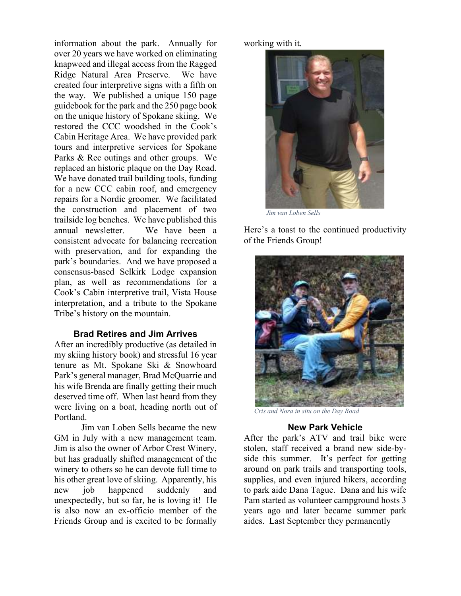information about the park. Annually for over 20 years we have worked on eliminating knapweed and illegal access from the Ragged Ridge Natural Area Preserve. We have created four interpretive signs with a fifth on the way. We published a unique 150 page guidebook for the park and the 250 page book on the unique history of Spokane skiing. We restored the CCC woodshed in the Cook's Cabin Heritage Area. We have provided park tours and interpretive services for Spokane Parks & Rec outings and other groups. We replaced an historic plaque on the Day Road. We have donated trail building tools, funding for a new CCC cabin roof, and emergency repairs for a Nordic groomer. We facilitated the construction and placement of two trailside log benches. We have published this annual newsletter. We have been a consistent advocate for balancing recreation with preservation, and for expanding the park's boundaries. And we have proposed a consensus-based Selkirk Lodge expansion plan, as well as recommendations for a Cook's Cabin interpretive trail, Vista House interpretation, and a tribute to the Spokane Tribe's history on the mountain.

### **Brad Retires and Jim Arrives**

After an incredibly productive (as detailed in my skiing history book) and stressful 16 year tenure as Mt. Spokane Ski & Snowboard Park's general manager, Brad McQuarrie and his wife Brenda are finally getting their much deserved time off. When last heard from they were living on a boat, heading north out of Portland.

 Jim van Loben Sells became the new GM in July with a new management team. Jim is also the owner of Arbor Crest Winery, but has gradually shifted management of the winery to others so he can devote full time to his other great love of skiing. Apparently, his new job happened suddenly and unexpectedly, but so far, he is loving it! He is also now an ex-officio member of the Friends Group and is excited to be formally

working with it.



*Jim van Loben Sells*

Here's a toast to the continued productivity of the Friends Group!



 *Cris and Nora in situ on the Day Road* 

## **New Park Vehicle**

After the park's ATV and trail bike were stolen, staff received a brand new side-byside this summer. It's perfect for getting around on park trails and transporting tools, supplies, and even injured hikers, according to park aide Dana Tague. Dana and his wife Pam started as volunteer campground hosts 3 years ago and later became summer park aides. Last September they permanently